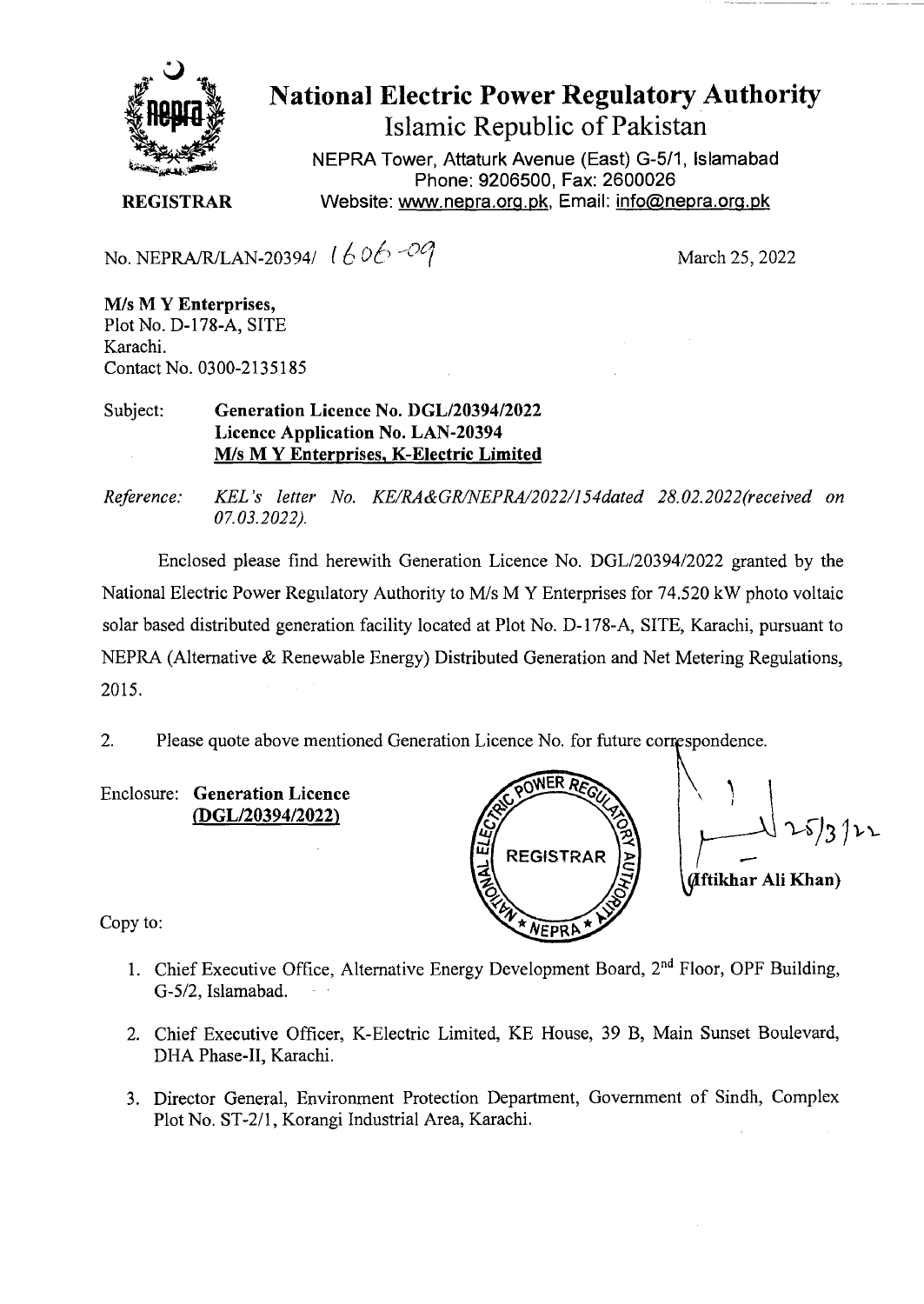

## National Electric Power Regulatory Authority

Islamic Republic of Pakistan

NEPRA Tower, Attaturk Avenue (East) G-5/1, Islamabad Phone: 9206500, Fax: 2600026 **REGISTRAR** Website: www.nepra.org.pk, Email: info@nepra.org.pk

No. NEPRA/R/LAN-20394/  $1606 - 09$  March 25, 2022

*MIs* M **Y Enterprises,**  Plot No. D-178-A, SITE Karachi. Contact No. 0300-2135 185

Subject: **Generation Licence** No. *DGL12039412022*  **Licence Application No.** LAN-20394 MIs M **Y Enterprises,** K**-Electric Limited** 

*Reference: KEL 's letter No. KE/RA &GR/NEPRA/2022/154dated 28.02. 2022(received on 07.03.2022).* 

Enclosed please find herewith Generation Licence No. DGL/20394/2022 granted by the National Electric Power Regulatory Authority to M/s M Y Enterprises for 74.520 kW photo voltaic solar based distributed generation facility located at Plot No. D- 178-A, SITE, Karachi, pursuant to NEPRA (Alternative & Renewable Energy) Distributed Generation and Net Metering Regulations, 2015.

2. Please quote above mentioned Generation Licence No. for future corrçspondence.

Enclosure: **Generation Licence (DGL/20394/2022)** 



Copy to:

- 1. Chief Executive Office, Alternative Energy Development Board,  $2<sup>nd</sup>$  Floor, OPF Building, G-5/2, Islamabad.
- 2. Chief Executive Officer, K-Electric Limited, KE House, 39 B, Main Sunset Boulevard, DHA Phase-IT, Karachi.
- 3. Director General, Environment Protection Department, Government of Sindh, Complex Plot No. ST-2/1, Korangi Industrial Area, Karachi.